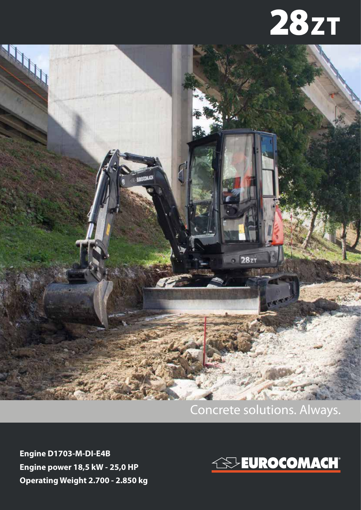



## Concrete solutions. Always.

**Engine D1703-M-DI-E4B Engine power 18,5 kW - 25,0 HP Operating Weight 2.700 - 2.850 kg**